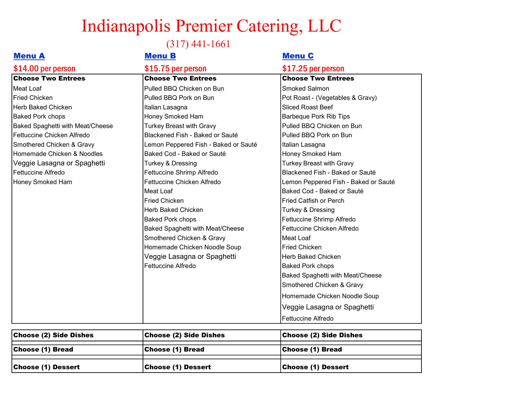## Indianapolis Premier Catering, LLC

(317) 441-1661

| <b>Menu A</b>                    | <b>Menu B</b>                           | <b>Menu C</b>                        |
|----------------------------------|-----------------------------------------|--------------------------------------|
| \$14.00 per person               | \$15.75 per person                      | \$17.25 per person                   |
| <b>Choose Two Entrees</b>        | <b>Choose Two Entrees</b>               | <b>Choose Two Entrees</b>            |
| Meat Loaf                        | Pulled BBQ Chicken on Bun               | <b>Smoked Salmon</b>                 |
| <b>Fried Chicken</b>             | Pulled BBQ Pork on Bun                  | Pot Roast - (Vegetables & Gravy)     |
| Herb Baked Chicken               | Italian Lasagna                         | <b>Sliced Roast Beef</b>             |
| <b>Baked Pork chops</b>          | Honey Smoked Ham                        | <b>Barbeque Pork Rib Tips</b>        |
| Baked Spaghetti with Meat/Cheese | <b>Turkey Breast with Gravy</b>         | Pulled BBQ Chicken on Bun            |
| Fettuccine Chicken Alfredo       | Blackened Fish - Baked or Sauté         | Pulled BBQ Pork on Bun               |
| Smothered Chicken & Gravy        | Lemon Peppered Fish - Baked or Sauté    | Italian Lasagna                      |
| Homemade Chicken & Noodles       | Baked Cod - Baked or Sauté              | Honey Smoked Ham                     |
| Veggie Lasagna or Spaghetti      | Turkey & Dressing                       | <b>Turkey Breast with Gravy</b>      |
| Fettuccine Alfredo               | Fettuccine Shrimp Alfredo               | Blackened Fish - Baked or Sauté      |
| Honey Smoked Ham                 | Fettuccine Chicken Alfredo              | Lemon Peppered Fish - Baked or Sauté |
|                                  | Meat Loaf                               | Baked Cod - Baked or Sauté           |
|                                  | <b>Fried Chicken</b>                    | <b>Fried Catfish or Perch</b>        |
|                                  | <b>Herb Baked Chicken</b>               | Turkey & Dressing                    |
|                                  | <b>Baked Pork chops</b>                 | Fettuccine Shrimp Alfredo            |
|                                  | <b>Baked Spaghetti with Meat/Cheese</b> | Fettuccine Chicken Alfredo           |
|                                  | Smothered Chicken & Gravy               | lMeat Loaf                           |
|                                  | Homemade Chicken Noodle Soup            | <b>Fried Chicken</b>                 |
|                                  | Veggie Lasagna or Spaghetti             | <b>Herb Baked Chicken</b>            |
|                                  | Fettuccine Alfredo                      | <b>Baked Pork chops</b>              |
|                                  |                                         | Baked Spaghetti with Meat/Cheese     |
|                                  |                                         | Smothered Chicken & Gravy            |
|                                  |                                         | Homemade Chicken Noodle Soup         |
|                                  |                                         | Veggie Lasagna or Spaghetti          |
|                                  |                                         | Fettuccine Alfredo                   |

| <b>Choose (2) Side Dishes</b> | <b>Choose (2) Side Dishes</b> | <b>Choose (2) Side Dishes</b> |
|-------------------------------|-------------------------------|-------------------------------|
| Choose (1) Bread              | Choose (1) Bread              | Choose (1) Bread              |
| Choose (1) Dessert            | Choose (1) Dessert            | Choose (1) Dessert            |